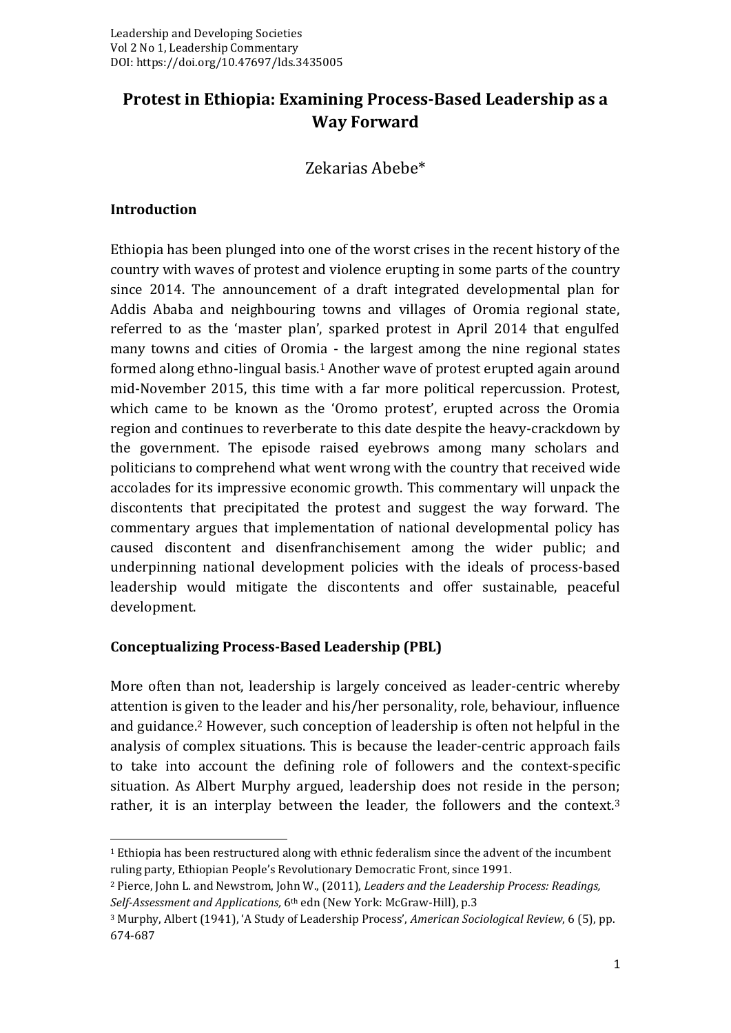# **Protest in Ethiopia: Examining Process-Based Leadership as a Way Forward**

## Zekarias Abebe\*

#### **Introduction**

Ethiopia has been plunged into one of the worst crises in the recent history of the country with waves of protest and violence erupting in some parts of the country since 2014. The announcement of a draft integrated developmental plan for Addis Ababa and neighbouring towns and villages of Oromia regional state, referred to as the 'master plan', sparked protest in April 2014 that engulfed many towns and cities of Oromia - the largest among the nine regional states formed along ethno-lingual basis.<sup>1</sup> Another wave of protest erupted again around mid-November 2015, this time with a far more political repercussion. Protest, which came to be known as the 'Oromo protest', erupted across the Oromia region and continues to reverberate to this date despite the heavy-crackdown by the government. The episode raised eyebrows among many scholars and politicians to comprehend what went wrong with the country that received wide accolades for its impressive economic growth. This commentary will unpack the discontents that precipitated the protest and suggest the way forward. The commentary argues that implementation of national developmental policy has caused discontent and disenfranchisement among the wider public; and underpinning national development policies with the ideals of process-based leadership would mitigate the discontents and offer sustainable, peaceful development.

### **Conceptualizing Process-Based Leadership (PBL)**

More often than not, leadership is largely conceived as leader-centric whereby attention is given to the leader and his/her personality, role, behaviour, influence and guidance.<sup>2</sup> However, such conception of leadership is often not helpful in the analysis of complex situations. This is because the leader-centric approach fails to take into account the defining role of followers and the context-specific situation. As Albert Murphy argued, leadership does not reside in the person; rather, it is an interplay between the leader, the followers and the context.<sup>3</sup>

 $1$  Ethiopia has been restructured along with ethnic federalism since the advent of the incumbent ruling party, Ethiopian People's Revolutionary Democratic Front, since 1991.

<sup>2</sup> Pierce, John L. and Newstrom, John W., (2011), *Leaders and the Leadership Process: Readings, Self-Assessment and Applications,* 6th edn (New York: McGraw-Hill), p.3

<sup>3</sup> Murphy, Albert (1941), 'A Study of Leadership Process', *American Sociological Review*, 6 (5), pp. 674-687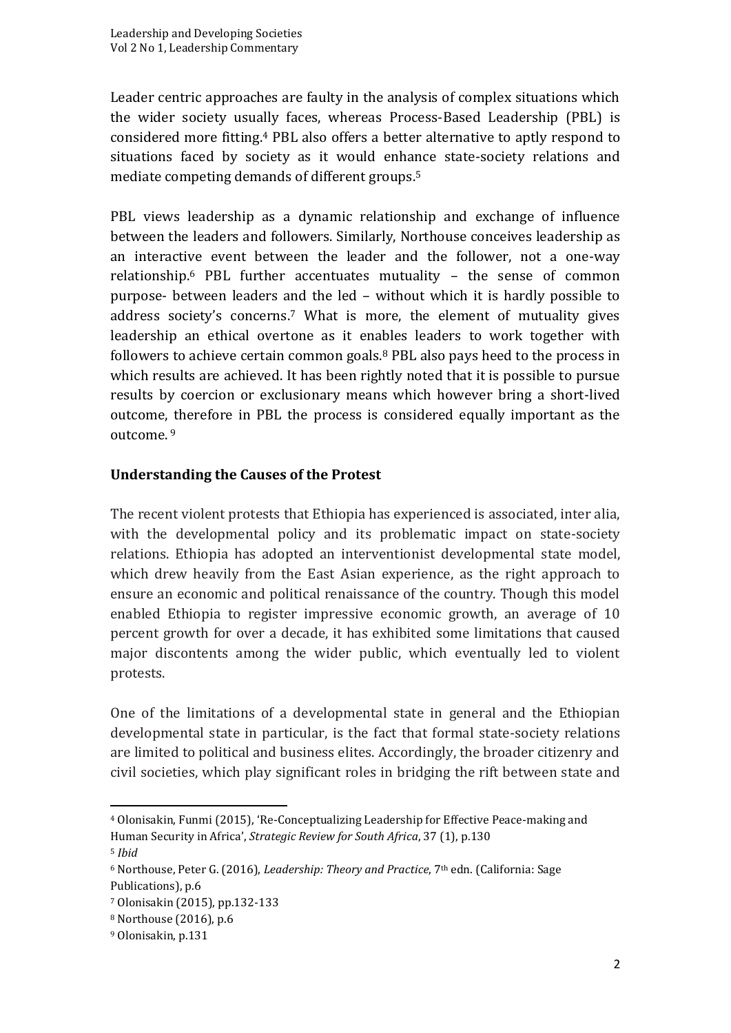Leader centric approaches are faulty in the analysis of complex situations which the wider society usually faces, whereas Process-Based Leadership (PBL) is considered more fitting.<sup>4</sup> PBL also offers a better alternative to aptly respond to situations faced by society as it would enhance state-society relations and mediate competing demands of different groups.<sup>5</sup>

PBL views leadership as a dynamic relationship and exchange of influence between the leaders and followers. Similarly, Northouse conceives leadership as an interactive event between the leader and the follower, not a one-way relationship.<sup>6</sup> PBL further accentuates mutuality – the sense of common purpose- between leaders and the led – without which it is hardly possible to address society's concerns.<sup>7</sup> What is more, the element of mutuality gives leadership an ethical overtone as it enables leaders to work together with followers to achieve certain common goals.<sup>8</sup> PBL also pays heed to the process in which results are achieved. It has been rightly noted that it is possible to pursue results by coercion or exclusionary means which however bring a short-lived outcome, therefore in PBL the process is considered equally important as the outcome. <sup>9</sup>

### **Understanding the Causes of the Protest**

The recent violent protests that Ethiopia has experienced is associated, inter alia, with the developmental policy and its problematic impact on state-society relations. Ethiopia has adopted an interventionist developmental state model, which drew heavily from the East Asian experience, as the right approach to ensure an economic and political renaissance of the country. Though this model enabled Ethiopia to register impressive economic growth, an average of 10 percent growth for over a decade, it has exhibited some limitations that caused major discontents among the wider public, which eventually led to violent protests.

One of the limitations of a developmental state in general and the Ethiopian developmental state in particular, is the fact that formal state-society relations are limited to political and business elites. Accordingly, the broader citizenry and civil societies, which play significant roles in bridging the rift between state and

<sup>4</sup> Olonisakin, Funmi (2015), 'Re-Conceptualizing Leadership for Effective Peace-making and Human Security in Africa', *Strategic Review for South Africa*, 37 (1), p.130

<sup>5</sup> *Ibid*

<sup>&</sup>lt;sup>6</sup> Northouse, Peter G. (2016), *Leadership: Theory and Practice*, 7<sup>th</sup> edn. (California: Sage Publications), p.6

<sup>7</sup> Olonisakin (2015), pp.132-133

<sup>8</sup> Northouse (2016), p.6

<sup>9</sup> Olonisakin, p.131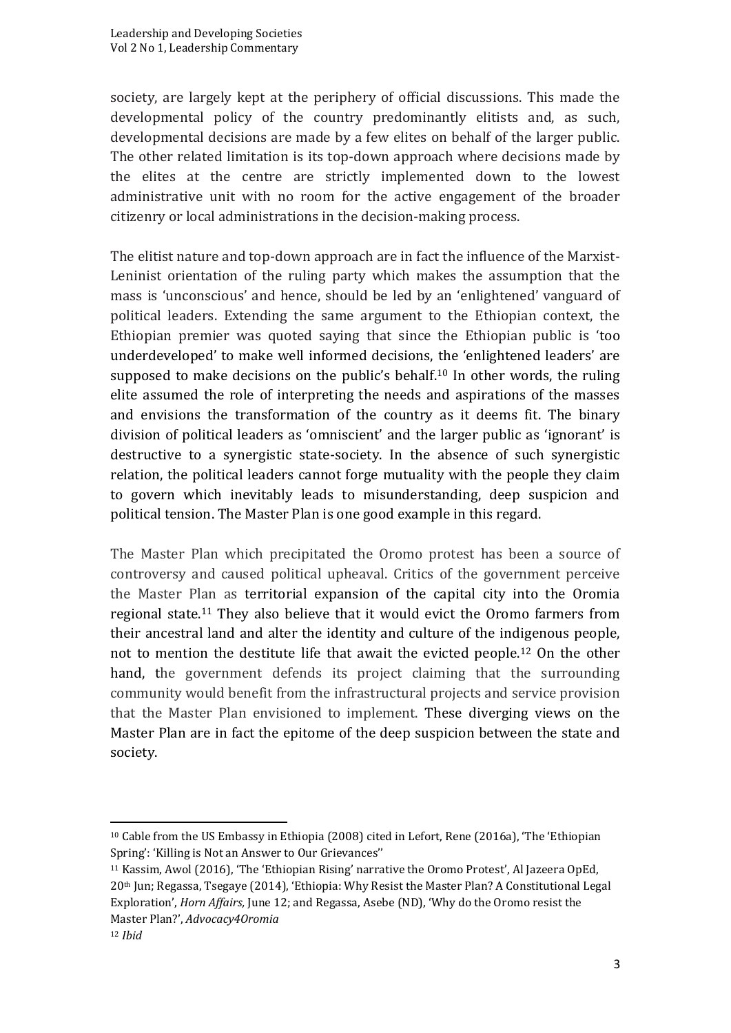society, are largely kept at the periphery of official discussions. This made the developmental policy of the country predominantly elitists and, as such, developmental decisions are made by a few elites on behalf of the larger public. The other related limitation is its top-down approach where decisions made by the elites at the centre are strictly implemented down to the lowest administrative unit with no room for the active engagement of the broader citizenry or local administrations in the decision-making process.

The elitist nature and top-down approach are in fact the influence of the Marxist-Leninist orientation of the ruling party which makes the assumption that the mass is 'unconscious' and hence, should be led by an 'enlightened' vanguard of political leaders. Extending the same argument to the Ethiopian context, the Ethiopian premier was quoted saying that since the Ethiopian public is 'too underdeveloped' to make well informed decisions, the 'enlightened leaders' are supposed to make decisions on the public's behalf.<sup>10</sup> In other words, the ruling elite assumed the role of interpreting the needs and aspirations of the masses and envisions the transformation of the country as it deems fit. The binary division of political leaders as 'omniscient' and the larger public as 'ignorant' is destructive to a synergistic state-society. In the absence of such synergistic relation, the political leaders cannot forge mutuality with the people they claim to govern which inevitably leads to misunderstanding, deep suspicion and political tension. The Master Plan is one good example in this regard.

The Master Plan which precipitated the Oromo protest has been a source of controversy and caused political upheaval. Critics of the government perceive the Master Plan as territorial expansion of the capital city into the Oromia regional state.<sup>11</sup> They also believe that it would evict the Oromo farmers from their ancestral land and alter the identity and culture of the indigenous people, not to mention the destitute life that await the evicted people.<sup>12</sup> On the other hand, the government defends its project claiming that the surrounding community would benefit from the infrastructural projects and service provision that the Master Plan envisioned to implement. These diverging views on the Master Plan are in fact the epitome of the deep suspicion between the state and society.

<sup>10</sup> Cable from the US Embassy in Ethiopia (2008) cited in Lefort, Rene (2016a), 'The 'Ethiopian Spring': 'Killing is Not an Answer to Our Grievances''

<sup>11</sup> Kassim, Awol (2016), 'The 'Ethiopian Rising' narrative the Oromo Protest', Al Jazeera OpEd, 20th Jun; Regassa, Tsegaye (2014), 'Ethiopia: Why Resist the Master Plan? A Constitutional Legal Exploration', *Horn Affairs,* June 12; and Regassa, Asebe (ND), 'Why do the Oromo resist the Master Plan?', *Advocacy4Oromia*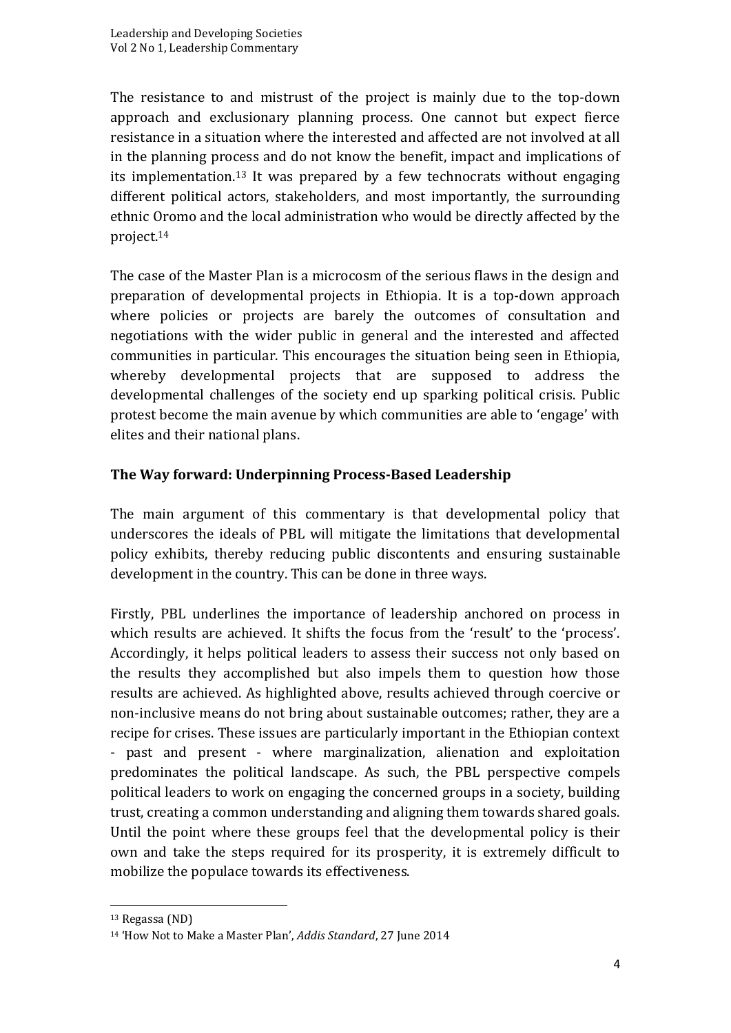The resistance to and mistrust of the project is mainly due to the top-down approach and exclusionary planning process. One cannot but expect fierce resistance in a situation where the interested and affected are not involved at all in the planning process and do not know the benefit, impact and implications of its implementation.<sup>13</sup> It was prepared by a few technocrats without engaging different political actors, stakeholders, and most importantly, the surrounding ethnic Oromo and the local administration who would be directly affected by the project.<sup>14</sup>

The case of the Master Plan is a microcosm of the serious flaws in the design and preparation of developmental projects in Ethiopia. It is a top-down approach where policies or projects are barely the outcomes of consultation and negotiations with the wider public in general and the interested and affected communities in particular. This encourages the situation being seen in Ethiopia, whereby developmental projects that are supposed to address the developmental challenges of the society end up sparking political crisis. Public protest become the main avenue by which communities are able to 'engage' with elites and their national plans.

### **The Way forward: Underpinning Process-Based Leadership**

The main argument of this commentary is that developmental policy that underscores the ideals of PBL will mitigate the limitations that developmental policy exhibits, thereby reducing public discontents and ensuring sustainable development in the country. This can be done in three ways.

Firstly, PBL underlines the importance of leadership anchored on process in which results are achieved. It shifts the focus from the 'result' to the 'process'. Accordingly, it helps political leaders to assess their success not only based on the results they accomplished but also impels them to question how those results are achieved. As highlighted above, results achieved through coercive or non-inclusive means do not bring about sustainable outcomes; rather, they are a recipe for crises. These issues are particularly important in the Ethiopian context - past and present - where marginalization, alienation and exploitation predominates the political landscape. As such, the PBL perspective compels political leaders to work on engaging the concerned groups in a society, building trust, creating a common understanding and aligning them towards shared goals. Until the point where these groups feel that the developmental policy is their own and take the steps required for its prosperity, it is extremely difficult to mobilize the populace towards its effectiveness.

<sup>13</sup> Regassa (ND)

<sup>14</sup> 'How Not to Make a Master Plan', *Addis Standard*, 27 June 2014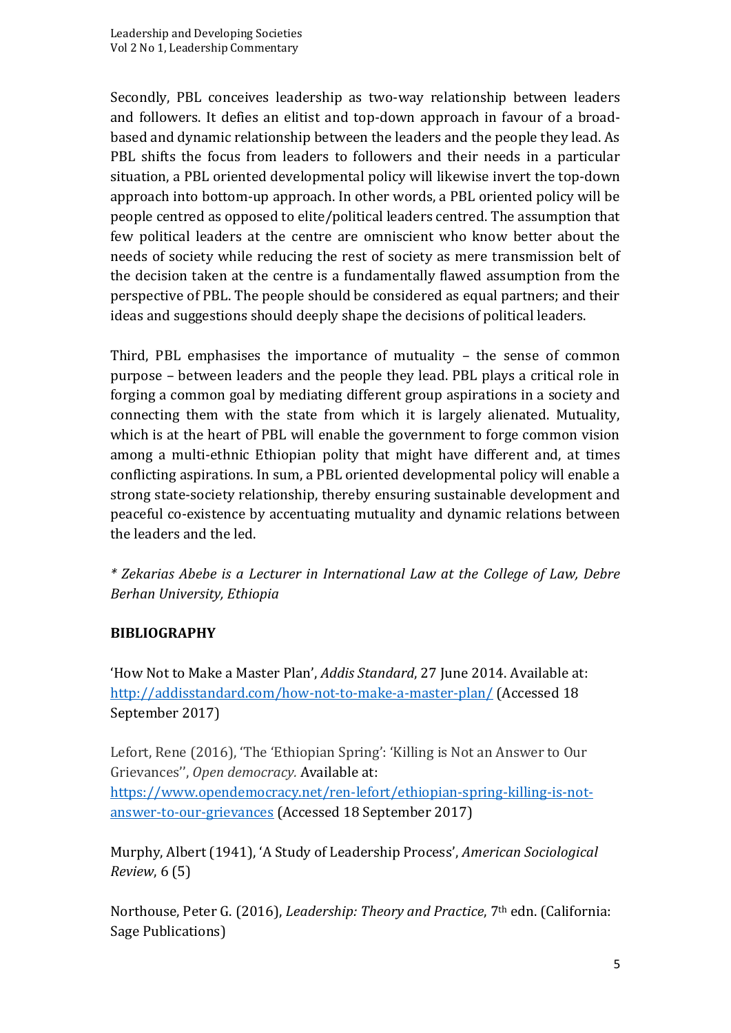Secondly, PBL conceives leadership as two-way relationship between leaders and followers. It defies an elitist and top-down approach in favour of a broadbased and dynamic relationship between the leaders and the people they lead. As PBL shifts the focus from leaders to followers and their needs in a particular situation, a PBL oriented developmental policy will likewise invert the top-down approach into bottom-up approach. In other words, a PBL oriented policy will be people centred as opposed to elite/political leaders centred. The assumption that few political leaders at the centre are omniscient who know better about the needs of society while reducing the rest of society as mere transmission belt of the decision taken at the centre is a fundamentally flawed assumption from the perspective of PBL. The people should be considered as equal partners; and their ideas and suggestions should deeply shape the decisions of political leaders.

Third, PBL emphasises the importance of mutuality – the sense of common purpose – between leaders and the people they lead. PBL plays a critical role in forging a common goal by mediating different group aspirations in a society and connecting them with the state from which it is largely alienated. Mutuality, which is at the heart of PBL will enable the government to forge common vision among a multi-ethnic Ethiopian polity that might have different and, at times conflicting aspirations. In sum, a PBL oriented developmental policy will enable a strong state-society relationship, thereby ensuring sustainable development and peaceful co-existence by accentuating mutuality and dynamic relations between the leaders and the led.

*\* Zekarias Abebe is a Lecturer in International Law at the College of Law, Debre Berhan University, Ethiopia*

### **BIBLIOGRAPHY**

'How Not to Make a Master Plan', *Addis Standard*, 27 June 2014. Available at: <http://addisstandard.com/how-not-to-make-a-master-plan/> (Accessed 18 September 2017)

Lefort, Rene (2016), 'The 'Ethiopian Spring': 'Killing is Not an Answer to Our Grievances'', *Open democracy.* Available at:

[https://www.opendemocracy.net/ren-lefort/ethiopian-spring-killing-is-not](https://www.opendemocracy.net/ren-lefort/ethiopian-spring-killing-is-not-answer-to-our-grievances)[answer-to-our-grievances](https://www.opendemocracy.net/ren-lefort/ethiopian-spring-killing-is-not-answer-to-our-grievances) (Accessed 18 September 2017)

Murphy, Albert (1941), 'A Study of Leadership Process', *American Sociological Review*, 6 (5)

Northouse, Peter G. (2016), *Leadership: Theory and Practice*, 7th edn. (California: Sage Publications)